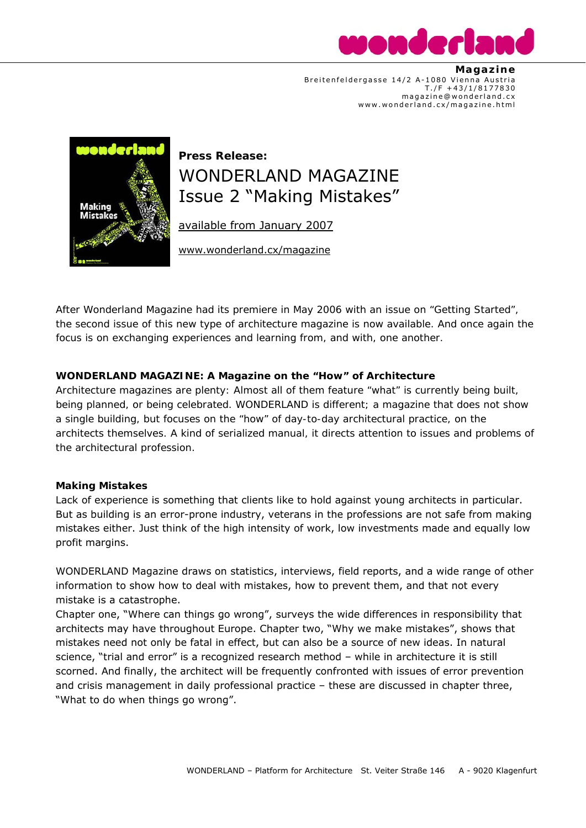

 **Magaz ine**  Breitenfeldergasse 14/2 A-1080 Vienna Austria  $T./F + 43/1/8177830$  magazine@wonderland.cx www.wonderland.cx/magazine.html



# **Press Release:**  WONDERLAND MAGAZINE Issue 2 "Making Mistakes"

available from January 2007

www.wonderland.cx/magazine

*After Wonderland Magazine had its premiere in May 2006 with an issue on "Getting Started", the second issue of this new type of architecture magazine is now available. And once again the focus is on exchanging experiences and learning from, and with, one another.* 

# **WONDERLAND MAGAZINE: A Magazine on the "How" of Architecture**

*Architecture magazines are plenty: Almost all of them feature "what" is currently being built, being planned, or being celebrated. WONDERLAND is different; a magazine that does not show a single building, but focuses on the "how" of day-to-day architectural practice, on the architects themselves. A kind of serialized manual, it directs attention to issues and problems of the architectural profession.* 

# **Making Mistakes**

Lack of experience is something that clients like to hold against young architects in particular. But as building is an error-prone industry, veterans in the professions are not safe from making mistakes either. Just think of the high intensity of work, low investments made and equally low profit margins.

WONDERLAND Magazine draws on statistics, interviews, field reports, and a wide range of other information to show how to deal with mistakes, how to prevent them, and that not every mistake is a catastrophe.

Chapter one, "Where can things go wrong", surveys the wide differences in responsibility that architects may have throughout Europe. Chapter two, "Why we make mistakes", shows that mistakes need not only be fatal in effect, but can also be a source of new ideas. In natural science, "trial and error" is a recognized research method – while in architecture it is still scorned. And finally, the architect will be frequently confronted with issues of error prevention and crisis management in daily professional practice – these are discussed in chapter three, "What to do when things go wrong".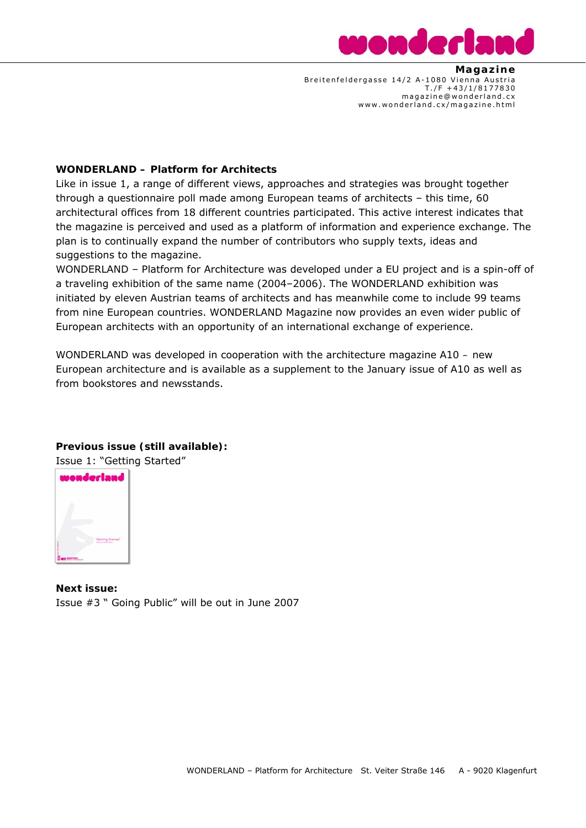

 **Magaz ine**  Breitenfeldergasse 14/2 A-1080 Vienna Austria  $T./F + 43/1/8177830$  magazine@wonderland.cx www.wonderland.cx/magazine.html

## **WONDERLAND – Platform for Architects**

Like in issue 1, a range of different views, approaches and strategies was brought together through a questionnaire poll made among European teams of architects – this time, 60 architectural offices from 18 different countries participated. This active interest indicates that the magazine is perceived and used as a platform of information and experience exchange. The plan is to continually expand the number of contributors who supply texts, ideas and suggestions to the magazine.

WONDERLAND – Platform for Architecture was developed under a EU project and is a spin-off of a traveling exhibition of the same name (2004–2006). The WONDERLAND exhibition was initiated by eleven Austrian teams of architects and has meanwhile come to include 99 teams from nine European countries. WONDERLAND Magazine now provides an even wider public of European architects with an opportunity of an international exchange of experience.

WONDERLAND was developed in cooperation with the architecture magazine *A10 – new European architecture* and is available as a supplement to the January issue of *A10* as well as from bookstores and newsstands.

# **Previous issue (still available):**

Issue 1: "Getting Started"



**Next issue:**  Issue #3 " Going Public" will be out in June 2007